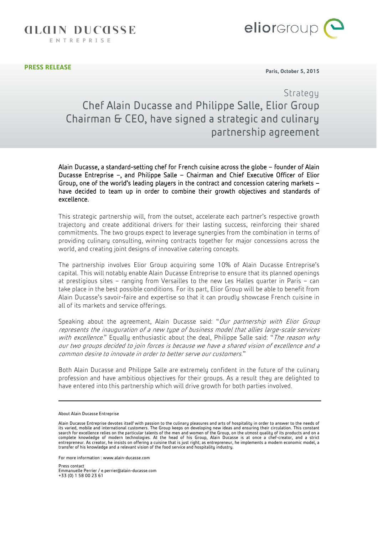**GLGIN DUCGSSE** 

ENTREPRISE



**PRESS RELEASE**

I

**Paris, October 5, 2015**

## Strategy Chef Alain Ducasse and Philippe Salle, Elior Group Chairman & CEO, have signed a strategic and culinary partnership agreement

Alain Ducasse, a standard-setting chef for French cuisine across the globe – founder of Alain Ducasse Entreprise –, and Philippe Salle – Chairman and Chief Executive Officer of Elior Group, one of the world's leading players in the contract and concession catering markets – have decided to team up in order to combine their growth objectives and standards of excellence.

This strategic partnership will, from the outset, accelerate each partner's respective growth trajectory and create additional drivers for their lasting success, reinforcing their shared commitments. The two groups expect to leverage synergies from the combination in terms of providing culinary consulting, winning contracts together for major concessions across the world, and creating joint designs of innovative catering concepts.

The partnership involves Elior Group acquiring some 10% of Alain Ducasse Entreprise's capital. This will notably enable Alain Ducasse Entreprise to ensure that its planned openings at prestigious sites – ranging from Versailles to the new Les Halles quarter in Paris – can take place in the best possible conditions. For its part, Elior Group will be able to benefit from Alain Ducasse's savoir-faire and expertise so that it can proudly showcase French cuisine in all of its markets and service offerings.

Speaking about the agreement, Alain Ducasse said: "Our partnership with Elior Group represents the inauguration of a new type of business model that allies large-scale services with excellence." Equally enthusiastic about the deal, Philippe Salle said: "The reason why our two groups decided to join forces is because we have a shared vision of excellence and a common desire to innovate in order to better serve our customers."

Both Alain Ducasse and Philippe Salle are extremely confident in the future of the culinary profession and have ambitious objectives for their groups. As a result they are delighted to have entered into this partnership which will drive growth for both parties involved.

For more information [: www.alain-ducasse.com](http://www.alain-ducasse.com/)

Press contact Emmanuelle Perrier [/ e.perrier@alain-ducasse.com](mailto:e.perrier@alain-ducasse.com) +33 (0) 1 58 00 23 61

About Alain Ducasse Entreprise

Alain Ducasse Entreprise devotes itself with passion to the culinary pleasures and arts of hospitality in order to answer to the needs of its varied, mobile and international customers. The Group keeps on developing new ideas and ensuring their circulation. This constant<br>search for excellence relies on the particular talents of the men and women of the Group complete knowledge of modern technologies. At the head of his Group, Alain Ducasse is at once a chef-creator, and a strict entrepreneur. As creator, he insists on offering a cuisine that is just right; as entrepreneur, he implements a modern economic model, a transfer of his knowledge and a relevant vision of the food service and hospitality industry.